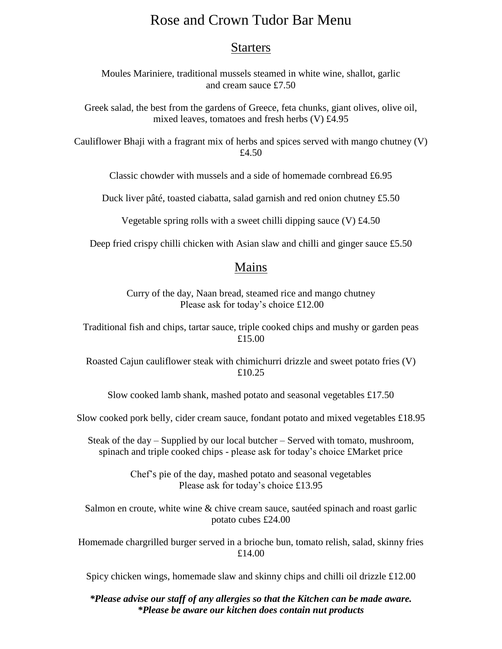## Rose and Crown Tudor Bar Menu

## **Starters**

Moules Mariniere, traditional mussels steamed in white wine, shallot, garlic and cream sauce £7.50

Greek salad, the best from the gardens of Greece, feta chunks, giant olives, olive oil, mixed leaves, tomatoes and fresh herbs (V) £4.95

Cauliflower Bhaji with a fragrant mix of herbs and spices served with mango chutney (V) £4.50

Classic chowder with mussels and a side of homemade cornbread £6.95

Duck liver pâté, toasted ciabatta, salad garnish and red onion chutney £5.50

Vegetable spring rolls with a sweet chilli dipping sauce (V) £4.50

Deep fried crispy chilli chicken with Asian slaw and chilli and ginger sauce £5.50

## Mains

Curry of the day, Naan bread, steamed rice and mango chutney Please ask for today's choice £12.00

Traditional fish and chips, tartar sauce, triple cooked chips and mushy or garden peas £15.00

Roasted Cajun cauliflower steak with chimichurri drizzle and sweet potato fries (V) £10.25

Slow cooked lamb shank, mashed potato and seasonal vegetables £17.50

Slow cooked pork belly, cider cream sauce, fondant potato and mixed vegetables £18.95

Steak of the day – Supplied by our local butcher – Served with tomato, mushroom, spinach and triple cooked chips - please ask for today's choice £Market price

> Chef's pie of the day, mashed potato and seasonal vegetables Please ask for today's choice £13.95

Salmon en croute, white wine & chive cream sauce, sautéed spinach and roast garlic potato cubes £24.00

Homemade chargrilled burger served in a brioche bun, tomato relish, salad, skinny fries £14.00

Spicy chicken wings, homemade slaw and skinny chips and chilli oil drizzle £12.00

*\*Please advise our staff of any allergies so that the Kitchen can be made aware. \*Please be aware our kitchen does contain nut products*